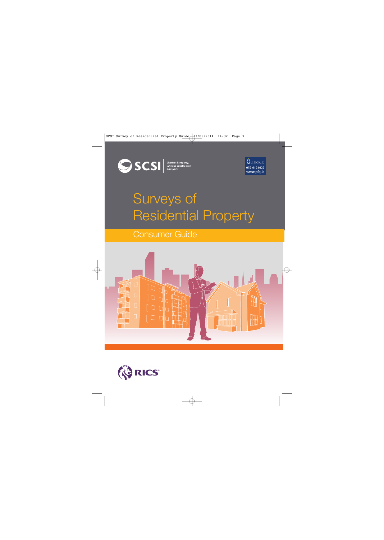

Chartered property,<br>land and construction<br>surveyors



# Surveys of Residential Property

### Consumer Guide



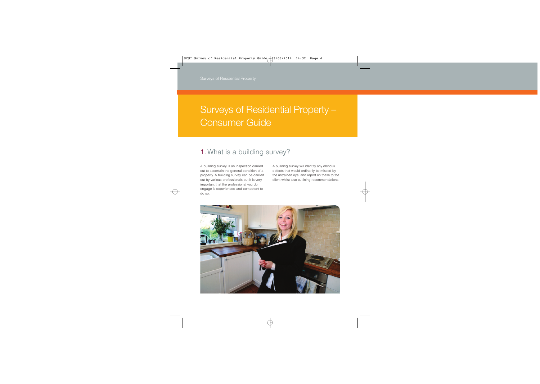## Surveys of Residential Property – Consumer Guide

### 1. What is a building survey?

A building survey is an inspection carried out to ascertain the general condition of a property. A building survey can be carried out by various professionals but it is very important that the professional you do engage is experienced and competent to do so.

A building survey will identify any obvious defects that would ordinarily be missed by the untrained eye, and report on these to the client whilst also outlining recommendations.

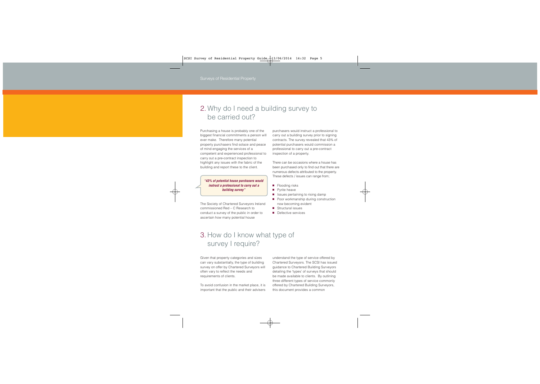### 2. Why do I need a building survey to be carried out?

Purchasing a house is probably one of the biggest financial commitments a person will ever make. Therefore many potential property purchasers find solace and peace of mind engaging the services of a competent and experienced professional to carry out a pre-contract inspection to highlight any issues with the fabric of the building and report these to the client.

**"43% of potential house purchasers would instruct a professional to carry out a building survey"**

The Society of Chartered Surveyors Ireland commissioned Red – C Research to conduct a survey of the public in order to ascertain how many potential house

purchasers would instruct a professional to carry out a building survey prior to signing contracts. The survey revealed that 43% of potential purchasers would commission a professional to carry out a pre-contract inspection of a property.

There can be occasions where a house has been purchased only to find out that there are numerous defects attributed to the property. These defects / issues can range from;

- Flooding risks
- Pyrite heave
- Issues pertaining to rising damp
- Poor workmanship during construction now becoming evident
- Structural issues
- Defective services

### 3. How do I know what type of survey I require?

Given that property categories and sizes can vary substantially, the type of building survey on offer by Chartered Surveyors will often vary to reflect the needs and requirements of clients.

To avoid confusion in the market place, it is important that the public and their advisers understand the type of service offered by Chartered Surveyors. The SCSI has issued guidance to Chartered Building Surveyors detailing the 'types' of surveys that should be made available to clients. By outlining three different types of service commonly offered by Chartered Building Surveyors, this document provides a common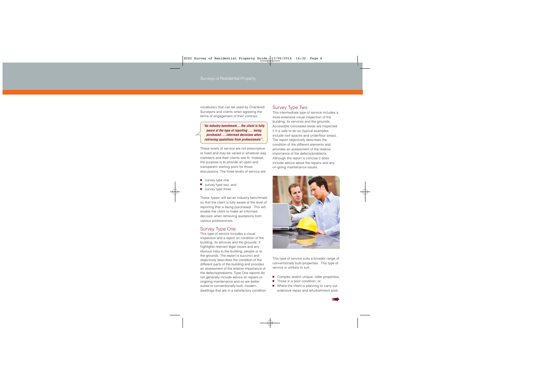vocabulary that can be used by Chartered Surveyors and clients when agreeing the terms of engagement of their contract.

**"An industry benchmark….the client is fully aware of the type of reporting …. being purchased…..informed decisions when retrieving quotations from professionals".**

These levels of service are not prescriptive or fixed and may be varied in whatever way members and their clients see fit. Instead, the purpose is to provide an open and transparent starting point for those discussions. The three levels of service are:

- survey type one
- survey type two; and
- survey type three

These 'types' will set an industry benchmark so that the client is fully aware of the level of reporting that is being purchased. This will enable the client to make an informed decision when retrieving quotations from various professionals.

#### Survey Type One

This type of service includes a visual inspection and a report on condition of the building, its services and the grounds. It highlights relevant legal issues and any obvious risks to the building, people or to the grounds. The report is succinct and objectively describes the condition of the different parts of the building and provides an assessment of the relative importance of the defects/problems. Type One reports do not generally include advice on repairs or ongoing maintenance and so are better suited to conventionally built, modern dwellings that are in a satisfactory condition.

#### Survey Type Two

This intermediate type of service includes a more extensive visual inspection of the building, its services and the grounds. Accessible concealed areas are inspected if it is safe to do so (typical examples include roof spaces and underfloor areas). The report objectively describes the condition of the different elements and provides an assessment of the relative importance of the defects/problems. Although the report is concise it does include advice about the repairs and any on-going maintenance issues.



This type of service suits a broader range of conventionally built properties. This type of service is unlikely to suit:

- Complex and/or unique, older properties,
- Those in a poor condition, or;
- Where the client is planning to carry out extensive repair and refurbishment work.

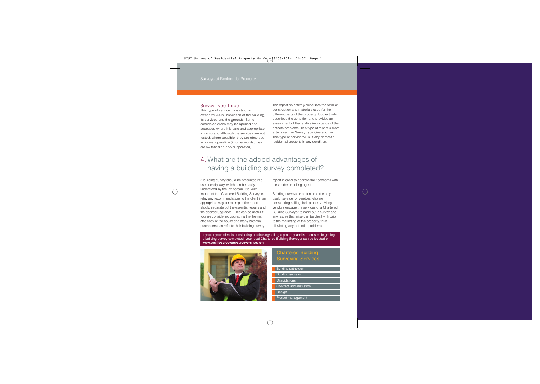#### Survey Type Three

This type of service consists of an extensive visual inspection of the building, its services and the grounds. Some concealed areas may be opened and accessed where it is safe and appropriate to do so and although the services are not tested, where possible, they are observed in normal operation (in other words, they are switched on and/or operated).

The report objectively describes the form of construction and materials used for the different parts of the property. It objectively describes the condition and provides an assessment of the relative importance of the defects/problems. This type of report is more extensive than Survey Type One and Two. This type of service will suit any domestic residential property in any condition.

### 4. What are the added advantages of having a building survey completed?

A building survey should be presented in a user friendly way, which can be easily understood by the lay person. It is very important that Chartered Building Surveyors relay any recommendations to the client in an appropriate way, for example, the report should separate out the essential repairs and the desired upgrades. This can be useful if you are considering upgrading the thermal efficiency of the house and many potential purchasers can refer to their building survey

report in order to address their concerns with the vendor or selling agent.

Building surveys are often an extremely useful service for vendors who are considering selling their property. Many vendors engage the services of a Chartered Building Surveyor to carry out a survey and any issues that arise can be dealt with prior to the marketing of the property, thus alleviating any potential problems.

If you or your client is considering purchasing/selling a property and is interested in getting a building survey completed, your local Chartered Building Surveyor can be located on **www.scsi.ie/surveyors/surveyors\_search** 



#### Chartered Building Surveying Services

- Building pathology
- Building surveys
- Dilapidations
- Contract administration
- Design
- Project management